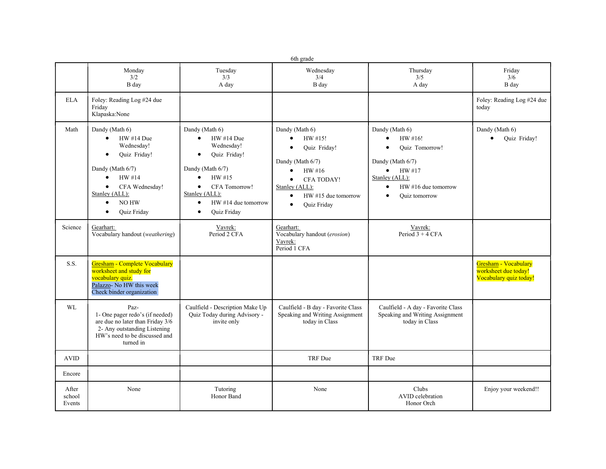|                           | 6th grade                                                                                                                                                                                                             |                                                                                                                                                                                                                                                 |                                                                                                                                                                                                                                            |                                                                                                                                                             |                                                                        |  |  |  |  |  |
|---------------------------|-----------------------------------------------------------------------------------------------------------------------------------------------------------------------------------------------------------------------|-------------------------------------------------------------------------------------------------------------------------------------------------------------------------------------------------------------------------------------------------|--------------------------------------------------------------------------------------------------------------------------------------------------------------------------------------------------------------------------------------------|-------------------------------------------------------------------------------------------------------------------------------------------------------------|------------------------------------------------------------------------|--|--|--|--|--|
|                           | Monday<br>3/2<br>B day                                                                                                                                                                                                | Tuesday<br>3/3<br>A day                                                                                                                                                                                                                         | Wednesday<br>3/4<br>B day                                                                                                                                                                                                                  | Thursday<br>3/5<br>A day                                                                                                                                    | Friday<br>3/6<br>B day                                                 |  |  |  |  |  |
| <b>ELA</b>                | Foley: Reading Log #24 due<br>Friday<br>Klapaska:None                                                                                                                                                                 |                                                                                                                                                                                                                                                 |                                                                                                                                                                                                                                            |                                                                                                                                                             | Foley: Reading Log #24 due<br>today                                    |  |  |  |  |  |
| Math                      | Dandy (Math 6)<br>HW #14 Due<br>$\bullet$<br>Wednesday!<br>Quiz Friday!<br>$\bullet$<br>Dandy (Math 6/7)<br>HW #14<br>$\bullet$<br>CFA Wednesday!<br>Stanley (ALL):<br>NO HW<br>$\bullet$<br>Quiz Friday<br>$\bullet$ | Dandy (Math 6)<br>HW #14 Due<br>$\bullet$<br>Wednesday!<br>Quiz Friday!<br>$\bullet$<br>Dandy (Math 6/7)<br>HW #15<br>$\bullet$<br>CFA Tomorrow!<br>$\bullet$<br>Stanley (ALL):<br>HW #14 due tomorrow<br>$\bullet$<br>Quiz Friday<br>$\bullet$ | Dandy (Math 6)<br>HW #15!<br>$\bullet$<br>Quiz Friday!<br>$\bullet$<br>Dandy (Math 6/7)<br>$\bullet$<br>HW#16<br><b>CFA TODAY!</b><br>$\bullet$<br>Stanley (ALL):<br>$HW #15$ due tomorrow<br>$\bullet$<br><b>Ouiz Friday</b><br>$\bullet$ | Dandy (Math 6)<br>HW #16!<br>Quiz Tomorrow!<br>Dandy (Math 6/7)<br>$\bullet$ HW#17<br>Stanley (ALL):<br>$HW$ #16 due tomorrow<br>$\bullet$<br>Ouiz tomorrow | Dandy (Math 6)<br>Quiz Friday!                                         |  |  |  |  |  |
| Science                   | Gearhart:<br>Vocabulary handout (weathering)                                                                                                                                                                          | Vavrek:<br>Period 2 CFA                                                                                                                                                                                                                         | Gearhart:<br>Vocabulary handout (erosion)<br>Vavrek:<br>Period 1 CFA                                                                                                                                                                       | Vavrek:<br>Period $3 + 4$ CFA                                                                                                                               |                                                                        |  |  |  |  |  |
| S.S.                      | Gresham - Complete Vocabulary<br>worksheet and study for<br>vocabulary quiz.<br>Palazzo- No HW this week<br>Check binder organization                                                                                 |                                                                                                                                                                                                                                                 |                                                                                                                                                                                                                                            |                                                                                                                                                             | Gresham - Vocabulary<br>worksheet due today!<br>Vocabulary quiz today! |  |  |  |  |  |
| WL                        | Paz-<br>1- One pager redo's (if needed)<br>are due no later than Friday 3/6<br>2- Any outstanding Listening<br>HW's need to be discussed and<br>turned in                                                             | Caulfield - Description Make Up<br>Quiz Today during Advisory -<br>invite only                                                                                                                                                                  | Caulfield - B day - Favorite Class<br>Speaking and Writing Assignment<br>today in Class                                                                                                                                                    | Caulfield - A day - Favorite Class<br>Speaking and Writing Assignment<br>today in Class                                                                     |                                                                        |  |  |  |  |  |
| <b>AVID</b>               |                                                                                                                                                                                                                       |                                                                                                                                                                                                                                                 | TRF Due                                                                                                                                                                                                                                    | <b>TRF</b> Due                                                                                                                                              |                                                                        |  |  |  |  |  |
| Encore                    |                                                                                                                                                                                                                       |                                                                                                                                                                                                                                                 |                                                                                                                                                                                                                                            |                                                                                                                                                             |                                                                        |  |  |  |  |  |
| After<br>school<br>Events | None                                                                                                                                                                                                                  | Tutoring<br>Honor Band                                                                                                                                                                                                                          | None                                                                                                                                                                                                                                       | Clubs<br>AVID celebration<br>Honor Orch                                                                                                                     | Enjoy your weekend!!                                                   |  |  |  |  |  |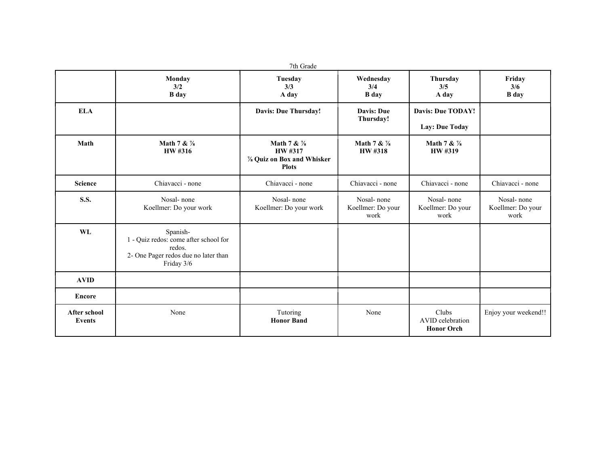|                                      | Monday<br>3/2<br><b>B</b> day                                                                                     | Tuesday<br>3/3<br>A day                                              | Wednesday<br>3/4<br><b>B</b> day        | Thursday<br>3/5<br>A day                       | Friday<br>3/6<br><b>B</b> day           |
|--------------------------------------|-------------------------------------------------------------------------------------------------------------------|----------------------------------------------------------------------|-----------------------------------------|------------------------------------------------|-----------------------------------------|
| <b>ELA</b>                           |                                                                                                                   | <b>Davis: Due Thursday!</b>                                          | <b>Davis: Due</b><br>Thursday!          | <b>Davis: Due TODAY!</b><br>Lay: Due Today     |                                         |
| Math<br>Math 7 & 1/8<br>HW #316      |                                                                                                                   | Math 7 & 1/8<br>HW #317<br>% Quiz on Box and Whisker<br><b>Plots</b> | Math 7 & 1/8<br>HW #318                 | Math 7 & $\frac{7}{8}$<br>HW #319              |                                         |
| <b>Science</b>                       | Chiavacci - none                                                                                                  | Chiavacci - none                                                     | Chiavacci - none                        | Chiavacci - none                               | Chiavacci - none                        |
| <b>S.S.</b>                          | Nosal-none<br>Koellmer: Do your work                                                                              | Nosal-none<br>Koellmer: Do your work                                 | Nosal-none<br>Koellmer: Do your<br>work | Nosal-none<br>Koellmer: Do your<br>work        | Nosal-none<br>Koellmer: Do your<br>work |
| WL                                   | Spanish-<br>1 - Quiz redos: come after school for<br>redos.<br>2- One Pager redos due no later than<br>Friday 3/6 |                                                                      |                                         |                                                |                                         |
| <b>AVID</b>                          |                                                                                                                   |                                                                      |                                         |                                                |                                         |
| <b>Encore</b>                        |                                                                                                                   |                                                                      |                                         |                                                |                                         |
| <b>After school</b><br><b>Events</b> | None                                                                                                              | Tutoring<br><b>Honor Band</b>                                        | None                                    | Clubs<br>AVID celebration<br><b>Honor Orch</b> | Enjoy your weekend!!                    |